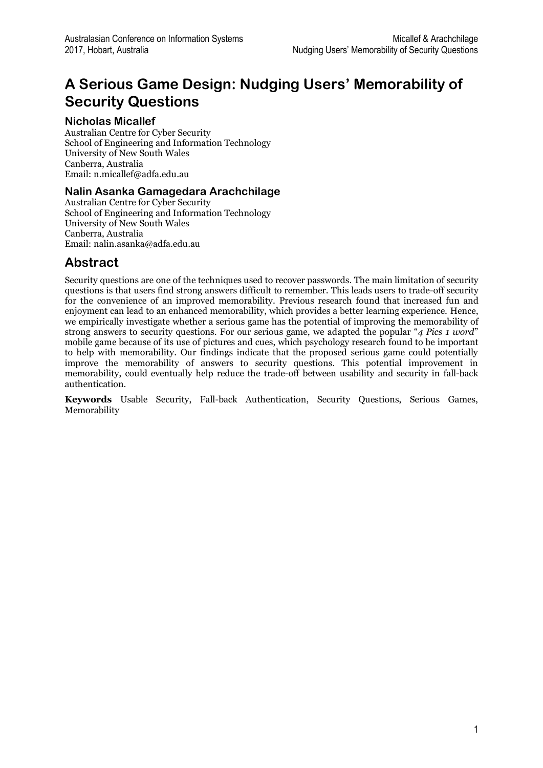# **A Serious Game Design: Nudging Users' Memorability of Security Questions**

#### **Nicholas Micallef**

Australian Centre for Cyber Security School of Engineering and Information Technology University of New South Wales Canberra, Australia Email: n.micallef@adfa.edu.au

#### **Nalin Asanka Gamagedara Arachchilage**

Australian Centre for Cyber Security School of Engineering and Information Technology University of New South Wales Canberra, Australia Email: nalin.asanka@adfa.edu.au

### **Abstract**

Security questions are one of the techniques used to recover passwords. The main limitation of security questions is that users find strong answers difficult to remember. This leads users to trade-off security for the convenience of an improved memorability. Previous research found that increased fun and enjoyment can lead to an enhanced memorability, which provides a better learning experience. Hence, we empirically investigate whether a serious game has the potential of improving the memorability of strong answers to security questions. For our serious game, we adapted the popular "*4 Pics 1 word*" mobile game because of its use of pictures and cues, which psychology research found to be important to help with memorability. Our findings indicate that the proposed serious game could potentially improve the memorability of answers to security questions. This potential improvement in memorability, could eventually help reduce the trade-off between usability and security in fall-back authentication.

**Keywords** Usable Security, Fall-back Authentication, Security Questions, Serious Games, Memorability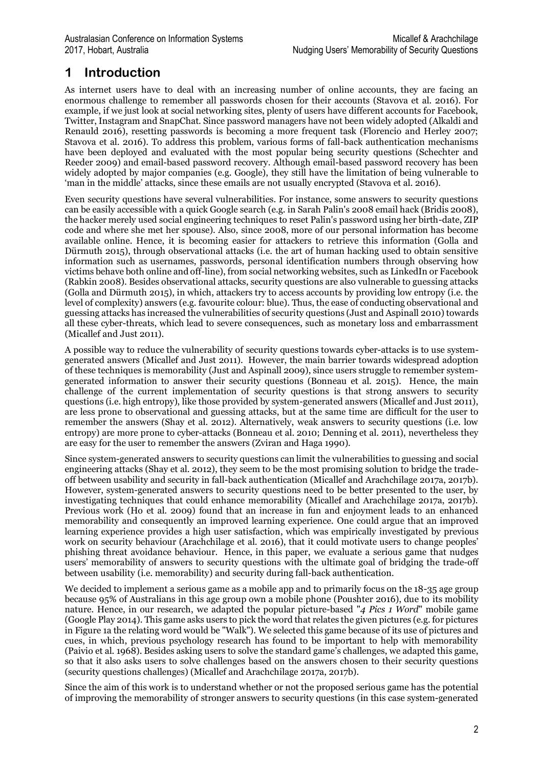## **1 Introduction**

As internet users have to deal with an increasing number of online accounts, they are facing an enormous challenge to remember all passwords chosen for their accounts (Stavova et al. 2016). For example, if we just look at social networking sites, plenty of users have different accounts for Facebook, Twitter, Instagram and SnapChat. Since password managers have not been widely adopted (Alkaldi and Renauld 2016), resetting passwords is becoming a more frequent task (Florencio and Herley 2007; Stavova et al. 2016). To address this problem, various forms of fall-back authentication mechanisms have been deployed and evaluated with the most popular being security questions (Schechter and Reeder 2009) and email-based password recovery. Although email-based password recovery has been widely adopted by major companies (e.g. Google), they still have the limitation of being vulnerable to 'man in the middle' attacks, since these emails are not usually encrypted (Stavova et al. 2016).

Even security questions have several vulnerabilities. For instance, some answers to security questions can be easily accessible with a quick Google search (e.g. in Sarah Palin's 2008 email hack (Bridis 2008), the hacker merely used social engineering techniques to reset Palin's password using her birth-date, ZIP code and where she met her spouse). Also, since 2008, more of our personal information has become available online. Hence, it is becoming easier for attackers to retrieve this information (Golla and Dürmuth 2015), through observational attacks (i.e. the art of human hacking used to obtain sensitive information such as usernames, passwords, personal identification numbers through observing how victims behave both online and off-line), from social networking websites, such as LinkedIn or Facebook (Rabkin 2008). Besides observational attacks, security questions are also vulnerable to guessing attacks (Golla and Dürmuth 2015), in which, attackers try to access accounts by providing low entropy (i.e. the level of complexity) answers (e.g. favourite colour: blue). Thus, the ease of conducting observational and guessing attacks has increased the vulnerabilities of security questions (Just and Aspinall 2010) towards all these cyber-threats, which lead to severe consequences, such as monetary loss and embarrassment (Micallef and Just 2011).

A possible way to reduce the vulnerability of security questions towards cyber-attacks is to use systemgenerated answers (Micallef and Just 2011). However, the main barrier towards widespread adoption of these techniques is memorability (Just and Aspinall 2009), since users struggle to remember systemgenerated information to answer their security questions (Bonneau et al. 2015). Hence, the main challenge of the current implementation of security questions is that strong answers to security questions (i.e. high entropy), like those provided by system-generated answers (Micallef and Just 2011), are less prone to observational and guessing attacks, but at the same time are difficult for the user to remember the answers (Shay et al. 2012). Alternatively, weak answers to security questions (i.e. low entropy) are more prone to cyber-attacks (Bonneau et al. 2010; Denning et al. 2011), nevertheless they are easy for the user to remember the answers (Zviran and Haga 1990).

Since system-generated answers to security questions can limit the vulnerabilities to guessing and social engineering attacks (Shay et al. 2012), they seem to be the most promising solution to bridge the tradeoff between usability and security in fall-back authentication (Micallef and Arachchilage 2017a, 2017b). However, system-generated answers to security questions need to be better presented to the user, by investigating techniques that could enhance memorability (Micallef and Arachchilage 2017a, 2017b). Previous work (Ho et al. 2009) found that an increase in fun and enjoyment leads to an enhanced memorability and consequently an improved learning experience. One could argue that an improved learning experience provides a high user satisfaction, which was empirically investigated by previous work on security behaviour (Arachchilage et al. 2016), that it could motivate users to change peoples' phishing threat avoidance behaviour. Hence, in this paper, we evaluate a serious game that nudges users' memorability of answers to security questions with the ultimate goal of bridging the trade-off between usability (i.e. memorability) and security during fall-back authentication.

We decided to implement a serious game as a mobile app and to primarily focus on the 18-35 age group because 95% of Australians in this age group own a mobile phone (Poushter 2016), due to its mobility nature. Hence, in our research, we adapted the popular picture-based "*4 Pics 1 Word*" mobile game (Google Play 2014). This game asks users to pick the word that relates the given pictures (e.g. for pictures in Figure 1a the relating word would be "Walk"). We selected this game because of its use of pictures and cues, in which, previous psychology research has found to be important to help with memorability (Paivio et al. 1968). Besides asking users to solve the standard game's challenges, we adapted this game, so that it also asks users to solve challenges based on the answers chosen to their security questions (security questions challenges) (Micallef and Arachchilage 2017a, 2017b).

Since the aim of this work is to understand whether or not the proposed serious game has the potential of improving the memorability of stronger answers to security questions (in this case system-generated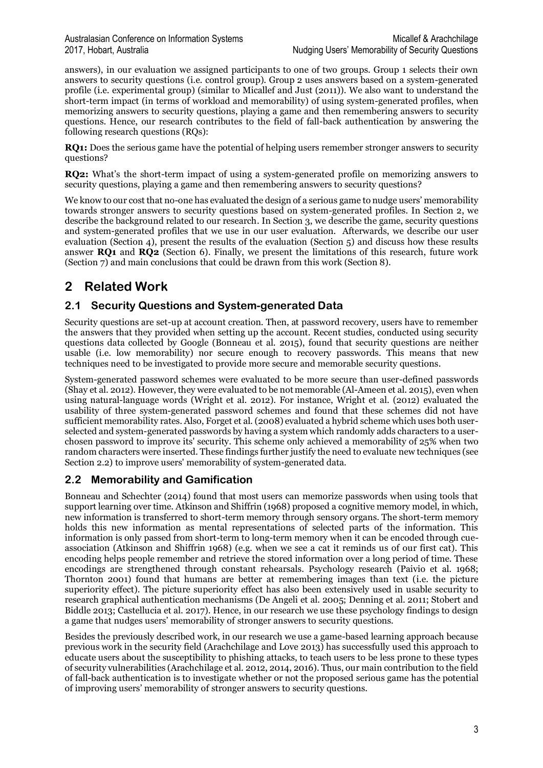answers), in our evaluation we assigned participants to one of two groups. Group 1 selects their own answers to security questions (i.e. control group). Group 2 uses answers based on a system-generated profile (i.e. experimental group) (similar to Micallef and Just (2011)). We also want to understand the short-term impact (in terms of workload and memorability) of using system-generated profiles, when memorizing answers to security questions, playing a game and then remembering answers to security questions. Hence, our research contributes to the field of fall-back authentication by answering the following research questions (RQs):

**RQ1:** Does the serious game have the potential of helping users remember stronger answers to security questions?

**RQ2:** What's the short-term impact of using a system-generated profile on memorizing answers to security questions, playing a game and then remembering answers to security questions?

We know to our cost that no-one has evaluated the design of a serious game to nudge users' memorability towards stronger answers to security questions based on system-generated profiles. In Section 2, we describe the background related to our research. In Section 3, we describe the game, security questions and system-generated profiles that we use in our user evaluation. Afterwards, we describe our user evaluation (Section 4), present the results of the evaluation (Section 5) and discuss how these results answer **RQ1** and **RQ2** (Section 6). Finally, we present the limitations of this research, future work (Section 7) and main conclusions that could be drawn from this work (Section 8).

## **2 Related Work**

#### **2.1 Security Questions and System-generated Data**

Security questions are set-up at account creation. Then, at password recovery, users have to remember the answers that they provided when setting up the account. Recent studies, conducted using security questions data collected by Google (Bonneau et al. 2015), found that security questions are neither usable (i.e. low memorability) nor secure enough to recovery passwords. This means that new techniques need to be investigated to provide more secure and memorable security questions.

System-generated password schemes were evaluated to be more secure than user-defined passwords (Shay et al. 2012). However, they were evaluated to be not memorable (Al-Ameen et al. 2015), even when using natural-language words (Wright et al. 2012). For instance, Wright et al. (2012) evaluated the usability of three system-generated password schemes and found that these schemes did not have sufficient memorability rates. Also, Forget et al. (2008) evaluated a hybrid scheme which uses both userselected and system-generated passwords by having a system which randomly adds characters to a userchosen password to improve its' security. This scheme only achieved a memorability of 25% when two random characters were inserted. These findings further justify the need to evaluate new techniques (see Section 2.2) to improve users' memorability of system-generated data.

#### **2.2 Memorability and Gamification**

Bonneau and Schechter (2014) found that most users can memorize passwords when using tools that support learning over time. Atkinson and Shiffrin (1968) proposed a cognitive memory model, in which, new information is transferred to short-term memory through sensory organs. The short-term memory holds this new information as mental representations of selected parts of the information. This information is only passed from short-term to long-term memory when it can be encoded through cueassociation (Atkinson and Shiffrin 1968) (e.g. when we see a cat it reminds us of our first cat). This encoding helps people remember and retrieve the stored information over a long period of time. These encodings are strengthened through constant rehearsals. Psychology research (Paivio et al. 1968; Thornton 2001) found that humans are better at remembering images than text (i.e. the picture superiority effect). The picture superiority effect has also been extensively used in usable security to research graphical authentication mechanisms (De Angeli et al. 2005; Denning et al. 2011; Stobert and Biddle 2013; Castellucia et al. 2017). Hence, in our research we use these psychology findings to design a game that nudges users' memorability of stronger answers to security questions.

Besides the previously described work, in our research we use a game-based learning approach because previous work in the security field (Arachchilage and Love 2013) has successfully used this approach to educate users about the susceptibility to phishing attacks, to teach users to be less prone to these types of security vulnerabilities (Arachchilage et al. 2012, 2014, 2016). Thus, our main contribution to the field of fall-back authentication is to investigate whether or not the proposed serious game has the potential of improving users' memorability of stronger answers to security questions.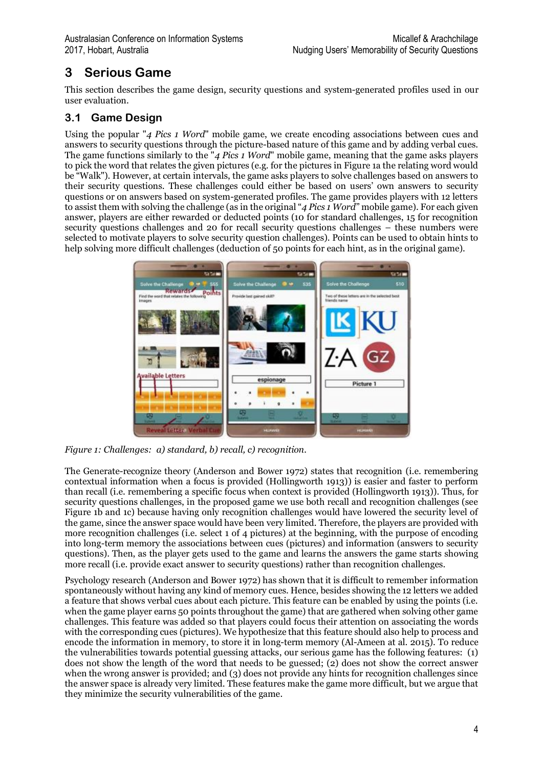# **3 Serious Game**

This section describes the game design, security questions and system-generated profiles used in our user evaluation.

### **3.1 Game Design**

Using the popular "*4 Pics 1 Word*" mobile game, we create encoding associations between cues and answers to security questions through the picture-based nature of this game and by adding verbal cues. The game functions similarly to the "*4 Pics 1 Word*" mobile game, meaning that the game asks players to pick the word that relates the given pictures (e.g. for the pictures in Figure 1a the relating word would be "Walk"). However, at certain intervals, the game asks players to solve challenges based on answers to their security questions. These challenges could either be based on users' own answers to security questions or on answers based on system-generated profiles. The game provides players with 12 letters to assist them with solving the challenge (as in the original "*4 Pics 1 Word*" mobile game). For each given answer, players are either rewarded or deducted points (10 for standard challenges, 15 for recognition security questions challenges and 20 for recall security questions challenges – these numbers were selected to motivate players to solve security question challenges). Points can be used to obtain hints to help solving more difficult challenges (deduction of 50 points for each hint, as in the original game).



*Figure 1: Challenges: a) standard, b) recall, c) recognition.*

The Generate-recognize theory (Anderson and Bower 1972) states that recognition (i.e. remembering contextual information when a focus is provided (Hollingworth 1913)) is easier and faster to perform than recall (i.e. remembering a specific focus when context is provided (Hollingworth 1913)). Thus, for security questions challenges, in the proposed game we use both recall and recognition challenges (see Figure 1b and 1c) because having only recognition challenges would have lowered the security level of the game, since the answer space would have been very limited. Therefore, the players are provided with more recognition challenges (i.e. select 1 of 4 pictures) at the beginning, with the purpose of encoding into long-term memory the associations between cues (pictures) and information (answers to security questions). Then, as the player gets used to the game and learns the answers the game starts showing more recall (i.e. provide exact answer to security questions) rather than recognition challenges.

Psychology research (Anderson and Bower 1972) has shown that it is difficult to remember information spontaneously without having any kind of memory cues. Hence, besides showing the 12 letters we added a feature that shows verbal cues about each picture. This feature can be enabled by using the points (i.e. when the game player earns 50 points throughout the game) that are gathered when solving other game challenges. This feature was added so that players could focus their attention on associating the words with the corresponding cues (pictures). We hypothesize that this feature should also help to process and encode the information in memory, to store it in long-term memory (Al-Ameen at al. 2015). To reduce the vulnerabilities towards potential guessing attacks, our serious game has the following features: (1) does not show the length of the word that needs to be guessed; (2) does not show the correct answer when the wrong answer is provided; and (3) does not provide any hints for recognition challenges since the answer space is already very limited. These features make the game more difficult, but we argue that they minimize the security vulnerabilities of the game.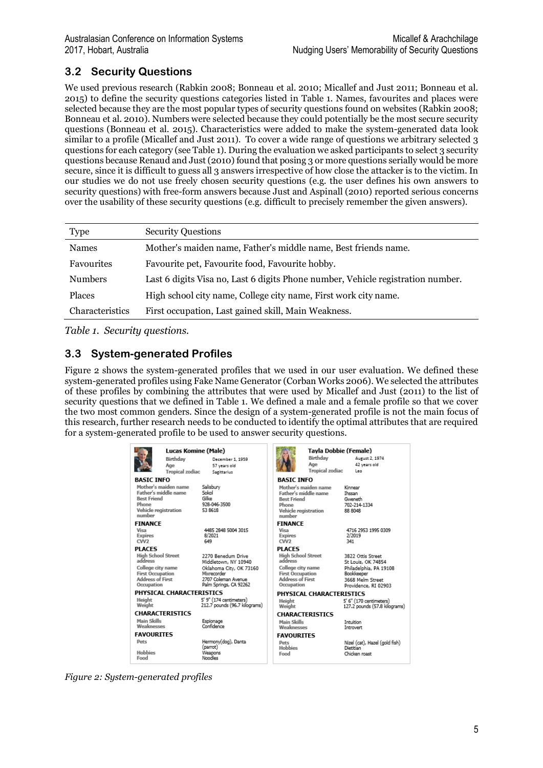### **3.2 Security Questions**

We used previous research (Rabkin 2008; Bonneau et al. 2010; Micallef and Just 2011; Bonneau et al. 2015) to define the security questions categories listed in Table 1. Names, favourites and places were selected because they are the most popular types of security questions found on websites (Rabkin 2008; Bonneau et al. 2010). Numbers were selected because they could potentially be the most secure security questions (Bonneau et al. 2015). Characteristics were added to make the system-generated data look similar to a profile (Micallef and Just 2011). To cover a wide range of questions we arbitrary selected 3 questions for each category (see Table 1). During the evaluation we asked participants to select 3 security questions because Renaud and Just (2010) found that posing 3 or more questions serially would be more secure, since it is difficult to guess all 3 answers irrespective of how close the attacker is to the victim. In our studies we do not use freely chosen security questions (e.g. the user defines his own answers to security questions) with free-form answers because Just and Aspinall (2010) reported serious concerns over the usability of these security questions (e.g. difficult to precisely remember the given answers).

| <b>Type</b>     | <b>Security Questions</b>                                                       |
|-----------------|---------------------------------------------------------------------------------|
| <b>Names</b>    | Mother's maiden name, Father's middle name, Best friends name.                  |
|                 |                                                                                 |
| Favourites      | Favourite pet, Favourite food, Favourite hobby.                                 |
| <b>Numbers</b>  | Last 6 digits Visa no, Last 6 digits Phone number, Vehicle registration number. |
| <b>Places</b>   | High school city name, College city name, First work city name.                 |
| Characteristics | First occupation, Last gained skill, Main Weakness.                             |

*Table 1. Security questions.*

### **3.3 System-generated Profiles**

Figure 2 shows the system-generated profiles that we used in our user evaluation. We defined these system-generated profiles using Fake Name Generator (Corban Works 2006). We selected the attributes of these profiles by combining the attributes that were used by Micallef and Just (2011) to the list of security questions that we defined in Table 1. We defined a male and a female profile so that we cover the two most common genders. Since the design of a system-generated profile is not the main focus of this research, further research needs to be conducted to identify the optimal attributes that are required for a system-generated profile to be used to answer security questions.

| <b>Lucas Komine (Male)</b>           |                        |                                            | Tayla Dobbie (Female)                |                          |                                         |  |
|--------------------------------------|------------------------|--------------------------------------------|--------------------------------------|--------------------------|-----------------------------------------|--|
|                                      | Birthdav               | December 1, 1959                           |                                      | Birthday                 | August 2, 1974                          |  |
|                                      | Age                    | 57 years old                               |                                      | Age                      | 42 years old                            |  |
|                                      | <b>Tropical zodiac</b> | Sagittarius                                |                                      | <b>Tropical zodiac</b>   | Leo                                     |  |
| <b>BASIC INFO</b>                    |                        |                                            | <b>BASIC INFO</b>                    |                          |                                         |  |
| Mother's maiden name                 |                        | Salisbury                                  |                                      | Mother's maiden name     | Kinnear                                 |  |
| Father's middle name                 |                        | Sokol                                      |                                      | Father's middle name     | Ihssan                                  |  |
| <b>Best Friend</b>                   |                        | Gilke                                      | <b>Rest Friend</b>                   |                          | Gweneth                                 |  |
| Phone                                |                        | 928-046-3500                               | Phone                                |                          | 702-214-1334                            |  |
| Vehicle registration<br>number       |                        | 53 8618                                    | Vehicle registration<br>number       |                          | 88.8048                                 |  |
| <b>FINANCE</b>                       |                        |                                            | <b>FINANCE</b>                       |                          |                                         |  |
| Visa                                 |                        | 4485 2848 5004 3015                        | Visa                                 |                          | 4716 2953 1995 0309                     |  |
| <b>Expires</b>                       |                        | 8/2021                                     | <b>Expires</b>                       |                          | 2/2019                                  |  |
| C <sub>W2</sub>                      |                        | 649                                        | C <sub>W2</sub>                      |                          | 341                                     |  |
| <b>PLACES</b>                        |                        |                                            | <b>PLACES</b>                        |                          |                                         |  |
| <b>High School Street</b><br>address |                        | 2270 Benedum Drive<br>Middletown, NY 10940 | <b>High School Street</b><br>address |                          | 3822 Ottis Street<br>St Louis, OK 74854 |  |
| College city name                    |                        | Oklahoma City, OK 73160                    | College city name                    |                          | Philadelphia, PA 19108                  |  |
| <b>First Occupation</b>              |                        | Mixrecorder                                | <b>First Occupation</b>              |                          | Bookkeeper                              |  |
| <b>Address of First</b>              |                        | 2707 Coleman Avenue                        | <b>Address of First</b>              |                          | 3668 Melm Street                        |  |
| Occupation<br>Palm Springs, CA 92262 |                        |                                            | Occupation<br>Providence, RI 02903   |                          |                                         |  |
| PHYSICAL CHARACTERISTICS             |                        |                                            |                                      | PHYSICAL CHARACTERISTICS |                                         |  |
| Height                               |                        | 5' 9" (174 centimeters)                    | Height                               |                          | 5' 6" (170 centimeters)                 |  |
| Weight                               |                        | 212.7 pounds (96.7 kilograms)              | Weight                               |                          | 127.2 pounds (57.8 kilograms)           |  |
| <b>CHARACTERISTICS</b>               |                        |                                            | <b>CHARACTERISTICS</b>               |                          |                                         |  |
| Main Skills                          |                        | Espionage                                  | Main Skills                          |                          | Intuition                               |  |
| Weaknesses                           |                        | Confidence                                 | Weaknesses                           |                          | <b>Introvert</b>                        |  |
| <b>FAVOURITES</b>                    |                        |                                            | <b>FAVOURITES</b>                    |                          |                                         |  |
| <b>Pets</b>                          |                        | Hermony(dog), Danta                        | <b>Pets</b>                          |                          | Nizel (cat), Hazel (gold fish)          |  |
| (parrot)<br>Hobbies                  |                        | Weapons                                    | <b>Hobbies</b>                       |                          | Dietitian                               |  |
| Food                                 |                        | Noodles                                    | Food                                 |                          | Chicken roast                           |  |
|                                      |                        |                                            |                                      |                          |                                         |  |

*Figure 2: System-generated profiles*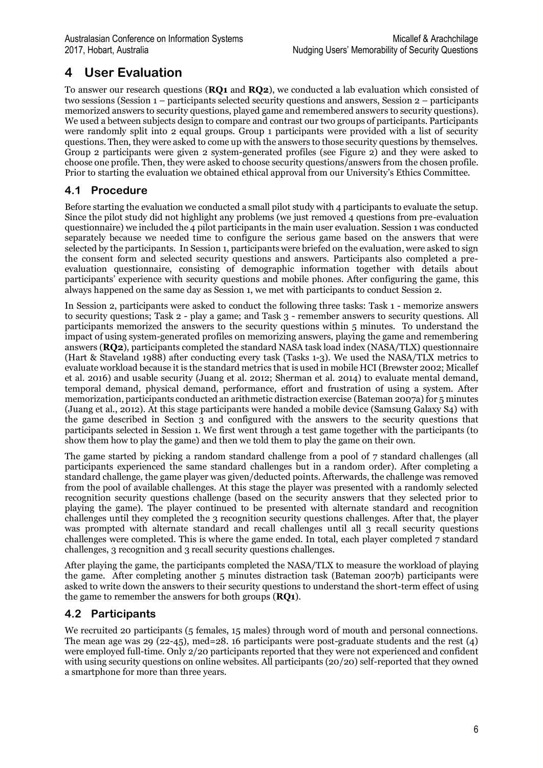# **4 User Evaluation**

To answer our research questions (**RQ1** and **RQ2**), we conducted a lab evaluation which consisted of two sessions (Session 1 – participants selected security questions and answers, Session 2 – participants memorized answers to security questions, played game and remembered answers to security questions). We used a between subjects design to compare and contrast our two groups of participants. Participants were randomly split into 2 equal groups. Group 1 participants were provided with a list of security questions. Then, they were asked to come up with the answers to those security questions by themselves. Group 2 participants were given 2 system-generated profiles (see Figure 2) and they were asked to choose one profile. Then, they were asked to choose security questions/answers from the chosen profile. Prior to starting the evaluation we obtained ethical approval from our University's Ethics Committee.

### **4.1 Procedure**

Before starting the evaluation we conducted a small pilot study with 4 participants to evaluate the setup. Since the pilot study did not highlight any problems (we just removed 4 questions from pre-evaluation questionnaire) we included the 4 pilot participants in the main user evaluation. Session 1 was conducted separately because we needed time to configure the serious game based on the answers that were selected by the participants. In Session 1, participants were briefed on the evaluation, were asked to sign the consent form and selected security questions and answers. Participants also completed a preevaluation questionnaire, consisting of demographic information together with details about participants' experience with security questions and mobile phones. After configuring the game, this always happened on the same day as Session 1, we met with participants to conduct Session 2.

In Session 2, participants were asked to conduct the following three tasks: Task 1 - memorize answers to security questions; Task 2 - play a game; and Task 3 - remember answers to security questions. All participants memorized the answers to the security questions within 5 minutes. To understand the impact of using system-generated profiles on memorizing answers, playing the game and remembering answers (**RQ2**), participants completed the standard NASA task load index (NASA/TLX) questionnaire (Hart & Staveland 1988) after conducting every task (Tasks 1-3). We used the NASA/TLX metrics to evaluate workload because it is the standard metrics that is used in mobile HCI (Brewster 2002; Micallef et al. 2016) and usable security (Juang et al. 2012; Sherman et al. 2014) to evaluate mental demand, temporal demand, physical demand, performance, effort and frustration of using a system. After memorization, participants conducted an arithmetic distraction exercise (Bateman 2007a) for 5 minutes (Juang et al., 2012). At this stage participants were handed a mobile device (Samsung Galaxy S4) with the game described in Section 3 and configured with the answers to the security questions that participants selected in Session 1. We first went through a test game together with the participants (to show them how to play the game) and then we told them to play the game on their own.

The game started by picking a random standard challenge from a pool of 7 standard challenges (all participants experienced the same standard challenges but in a random order). After completing a standard challenge, the game player was given/deducted points. Afterwards, the challenge was removed from the pool of available challenges. At this stage the player was presented with a randomly selected recognition security questions challenge (based on the security answers that they selected prior to playing the game). The player continued to be presented with alternate standard and recognition challenges until they completed the 3 recognition security questions challenges. After that, the player was prompted with alternate standard and recall challenges until all 3 recall security questions challenges were completed. This is where the game ended. In total, each player completed 7 standard challenges, 3 recognition and 3 recall security questions challenges.

After playing the game, the participants completed the NASA/TLX to measure the workload of playing the game. After completing another 5 minutes distraction task (Bateman 2007b) participants were asked to write down the answers to their security questions to understand the short-term effect of using the game to remember the answers for both groups (**RQ1**).

### **4.2 Participants**

We recruited 20 participants (5 females, 15 males) through word of mouth and personal connections. The mean age was 29 (22-45), med=28. 16 participants were post-graduate students and the rest (4) were employed full-time. Only 2/20 participants reported that they were not experienced and confident with using security questions on online websites. All participants (20/20) self-reported that they owned a smartphone for more than three years.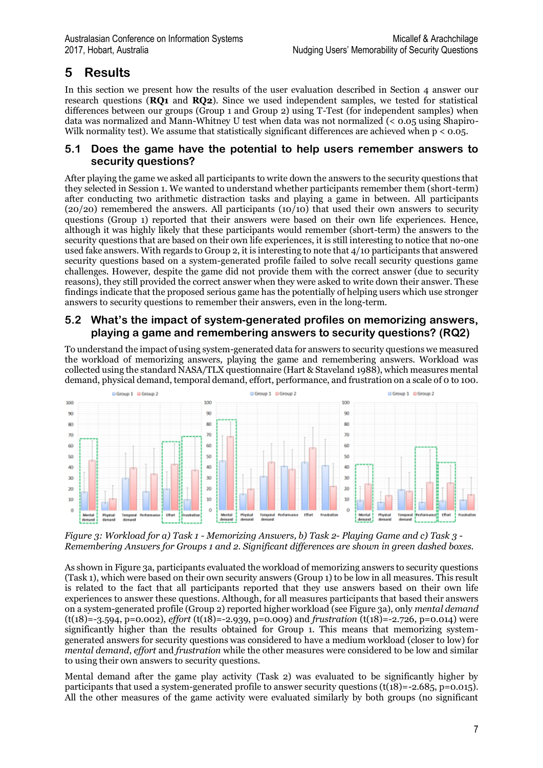# **5 Results**

In this section we present how the results of the user evaluation described in Section  $\Delta$  answer our research questions (**RQ1** and **RQ2**). Since we used independent samples, we tested for statistical differences between our groups (Group 1 and Group 2) using T-Test (for independent samples) when data was normalized and Mann-Whitney U test when data was not normalized (< 0.05 using Shapiro-Wilk normality test). We assume that statistically significant differences are achieved when  $p < 0.05$ .

#### **5.1 Does the game have the potential to help users remember answers to security questions?**

After playing the game we asked all participants to write down the answers to the security questions that they selected in Session 1. We wanted to understand whether participants remember them (short-term) after conducting two arithmetic distraction tasks and playing a game in between. All participants (20/20) remembered the answers. All participants (10/10) that used their own answers to security questions (Group 1) reported that their answers were based on their own life experiences. Hence, although it was highly likely that these participants would remember (short-term) the answers to the security questions that are based on their own life experiences, it is still interesting to notice that no-one used fake answers. With regards to Group 2, it is interesting to note that 4/10 participants that answered security questions based on a system-generated profile failed to solve recall security questions game challenges. However, despite the game did not provide them with the correct answer (due to security reasons), they still provided the correct answer when they were asked to write down their answer. These findings indicate that the proposed serious game has the potentially of helping users which use stronger answers to security questions to remember their answers, even in the long-term.

#### **5.2 What's the impact of system-generated profiles on memorizing answers, playing a game and remembering answers to security questions? (RQ2)**

To understand the impact of using system-generated data for answers to security questions we measured the workload of memorizing answers, playing the game and remembering answers. Workload was collected using the standard NASA/TLX questionnaire (Hart & Staveland 1988), which measures mental demand, physical demand, temporal demand, effort, performance, and frustration on a scale of 0 to 100.



*Figure 3: Workload for a) Task 1 - Memorizing Answers, b) Task 2- Playing Game and c) Task 3 - Remembering Answers for Groups 1 and 2. Significant differences are shown in green dashed boxes.*

As shown in Figure 3a, participants evaluated the workload of memorizing answers to security questions (Task 1), which were based on their own security answers (Group 1) to be low in all measures. This result is related to the fact that all participants reported that they use answers based on their own life experiences to answer these questions. Although, for all measures participants that based their answers on a system-generated profile (Group 2) reported higher workload (see Figure 3a), only *mental demand* (t(18)=-3.594, p=0.002), *effort* (t(18)=-2.939, p=0.009) and *frustration* (t(18)=-2.726, p=0.014) were significantly higher than the results obtained for Group 1. This means that memorizing systemgenerated answers for security questions was considered to have a medium workload (closer to low) for *mental demand*, *effort* and *frustration* while the other measures were considered to be low and similar to using their own answers to security questions.

Mental demand after the game play activity (Task 2) was evaluated to be significantly higher by participants that used a system-generated profile to answer security questions (t( $18$ )=-2.685, p=0.015). All the other measures of the game activity were evaluated similarly by both groups (no significant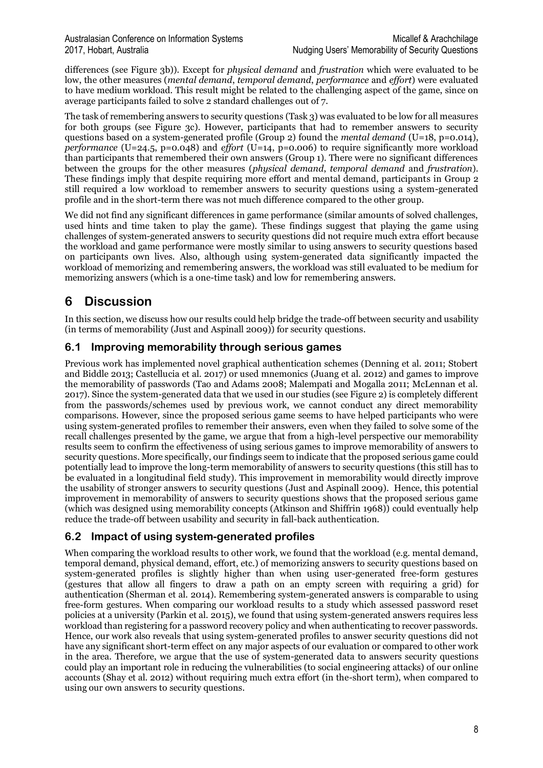differences (see Figure 3b)). Except for *physical demand* and *frustration* which were evaluated to be low, the other measures (*mental demand*, *temporal demand*, *performance* and *effort*) were evaluated to have medium workload. This result might be related to the challenging aspect of the game, since on average participants failed to solve 2 standard challenges out of 7.

The task of remembering answers to security questions (Task 3) was evaluated to be low for all measures for both groups (see Figure 3c). However, participants that had to remember answers to security questions based on a system-generated profile (Group 2) found the *mental demand* (U=18, p=0.014), *performance* (U=24.5, p=0.048) and *effort* (U=14, p=0.006) to require significantly more workload than participants that remembered their own answers (Group 1). There were no significant differences between the groups for the other measures (*physical demand*, *temporal demand* and *frustration*). These findings imply that despite requiring more effort and mental demand, participants in Group 2 still required a low workload to remember answers to security questions using a system-generated profile and in the short-term there was not much difference compared to the other group.

We did not find any significant differences in game performance (similar amounts of solved challenges, used hints and time taken to play the game). These findings suggest that playing the game using challenges of system-generated answers to security questions did not require much extra effort because the workload and game performance were mostly similar to using answers to security questions based on participants own lives. Also, although using system-generated data significantly impacted the workload of memorizing and remembering answers, the workload was still evaluated to be medium for memorizing answers (which is a one-time task) and low for remembering answers.

## **6 Discussion**

In this section, we discuss how our results could help bridge the trade-off between security and usability (in terms of memorability (Just and Aspinall 2009)) for security questions.

#### **6.1 Improving memorability through serious games**

Previous work has implemented novel graphical authentication schemes (Denning et al. 2011; Stobert and Biddle 2013; Castellucia et al. 2017) or used mnemonics (Juang et al. 2012) and games to improve the memorability of passwords (Tao and Adams 2008; Malempati and Mogalla 2011; McLennan et al. 2017). Since the system-generated data that we used in our studies (see Figure 2) is completely different from the passwords/schemes used by previous work, we cannot conduct any direct memorability comparisons. However, since the proposed serious game seems to have helped participants who were using system-generated profiles to remember their answers, even when they failed to solve some of the recall challenges presented by the game, we argue that from a high-level perspective our memorability results seem to confirm the effectiveness of using serious games to improve memorability of answers to security questions. More specifically, our findings seem to indicate that the proposed serious game could potentially lead to improve the long-term memorability of answers to security questions (this still has to be evaluated in a longitudinal field study). This improvement in memorability would directly improve the usability of stronger answers to security questions (Just and Aspinall 2009). Hence, this potential improvement in memorability of answers to security questions shows that the proposed serious game (which was designed using memorability concepts (Atkinson and Shiffrin 1968)) could eventually help reduce the trade-off between usability and security in fall-back authentication.

### **6.2 Impact of using system-generated profiles**

When comparing the workload results to other work, we found that the workload (e.g. mental demand, temporal demand, physical demand, effort, etc.) of memorizing answers to security questions based on system-generated profiles is slightly higher than when using user-generated free-form gestures (gestures that allow all fingers to draw a path on an empty screen with requiring a grid) for authentication (Sherman et al. 2014). Remembering system-generated answers is comparable to using free-form gestures. When comparing our workload results to a study which assessed password reset policies at a university (Parkin et al. 2015), we found that using system-generated answers requires less workload than registering for a password recovery policy and when authenticating to recover passwords. Hence, our work also reveals that using system-generated profiles to answer security questions did not have any significant short-term effect on any major aspects of our evaluation or compared to other work in the area. Therefore, we argue that the use of system-generated data to answers security questions could play an important role in reducing the vulnerabilities (to social engineering attacks) of our online accounts (Shay et al. 2012) without requiring much extra effort (in the-short term), when compared to using our own answers to security questions.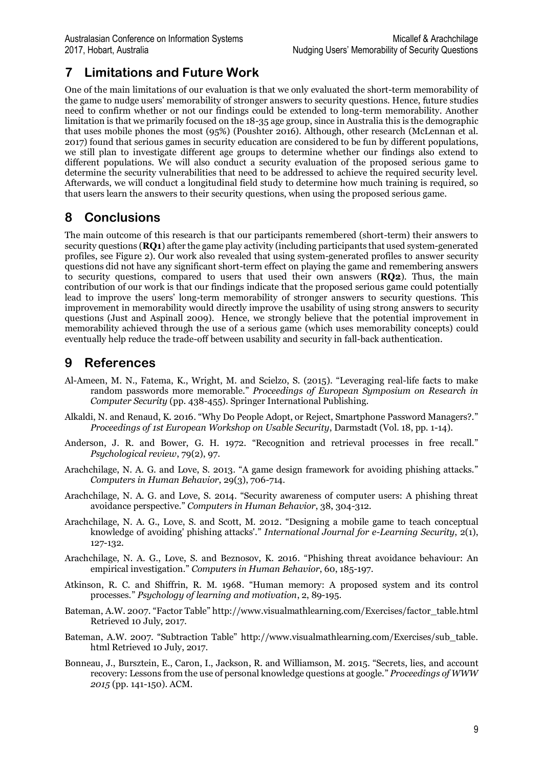# **7 Limitations and Future Work**

One of the main limitations of our evaluation is that we only evaluated the short-term memorability of the game to nudge users' memorability of stronger answers to security questions. Hence, future studies need to confirm whether or not our findings could be extended to long-term memorability. Another limitation is that we primarily focused on the 18-35 age group, since in Australia this is the demographic that uses mobile phones the most (95%) (Poushter 2016). Although, other research (McLennan et al. 2017) found that serious games in security education are considered to be fun by different populations, we still plan to investigate different age groups to determine whether our findings also extend to different populations. We will also conduct a security evaluation of the proposed serious game to determine the security vulnerabilities that need to be addressed to achieve the required security level. Afterwards, we will conduct a longitudinal field study to determine how much training is required, so that users learn the answers to their security questions, when using the proposed serious game.

## **8 Conclusions**

The main outcome of this research is that our participants remembered (short-term) their answers to security questions (**RQ1**) after the game play activity (including participants that used system-generated profiles, see Figure 2). Our work also revealed that using system-generated profiles to answer security questions did not have any significant short-term effect on playing the game and remembering answers to security questions, compared to users that used their own answers (**RQ2**). Thus, the main contribution of our work is that our findings indicate that the proposed serious game could potentially lead to improve the users' long-term memorability of stronger answers to security questions. This improvement in memorability would directly improve the usability of using strong answers to security questions (Just and Aspinall 2009). Hence, we strongly believe that the potential improvement in memorability achieved through the use of a serious game (which uses memorability concepts) could eventually help reduce the trade-off between usability and security in fall-back authentication.

### **9 References**

- Al-Ameen, M. N., Fatema, K., Wright, M. and Scielzo, S. (2015). "Leveraging real-life facts to make random passwords more memorable." *Proceedings of European Symposium on Research in Computer Security* (pp. 438-455). Springer International Publishing.
- Alkaldi, N. and Renaud, K. 2016. "Why Do People Adopt, or Reject, Smartphone Password Managers?." *Proceedings of 1st European Workshop on Usable Security*, Darmstadt (Vol. 18, pp. 1-14).
- Anderson, J. R. and Bower, G. H. 1972. "Recognition and retrieval processes in free recall." *Psychological review*, 79(2), 97.
- Arachchilage, N. A. G. and Love, S. 2013. "A game design framework for avoiding phishing attacks." *Computers in Human Behavior*, 29(3), 706-714.
- Arachchilage, N. A. G. and Love, S. 2014. "Security awareness of computer users: A phishing threat avoidance perspective." *Computers in Human Behavior*, 38, 304-312.
- Arachchilage, N. A. G., Love, S. and Scott, M. 2012. "Designing a mobile game to teach conceptual knowledge of avoiding' phishing attacks'." *International Journal for e-Learning Security*, 2(1), 127-132.
- Arachchilage, N. A. G., Love, S. and Beznosov, K. 2016. "Phishing threat avoidance behaviour: An empirical investigation." *Computers in Human Behavior*, 60, 185-197.
- Atkinson, R. C. and Shiffrin, R. M. 1968. "Human memory: A proposed system and its control processes." *Psychology of learning and motivation*, 2, 89-195.
- Bateman, A.W. 2007. "Factor Table" http://www.visualmathlearning.com/Exercises/factor\_table.html Retrieved 10 July, 2017.
- Bateman, A.W. 2007. "Subtraction Table" http://www.visualmathlearning.com/Exercises/sub\_table. html Retrieved 10 July, 2017.
- Bonneau, J., Bursztein, E., Caron, I., Jackson, R. and Williamson, M. 2015. "Secrets, lies, and account recovery: Lessons from the use of personal knowledge questions at google." *Proceedings of WWW 2015* (pp. 141-150). ACM.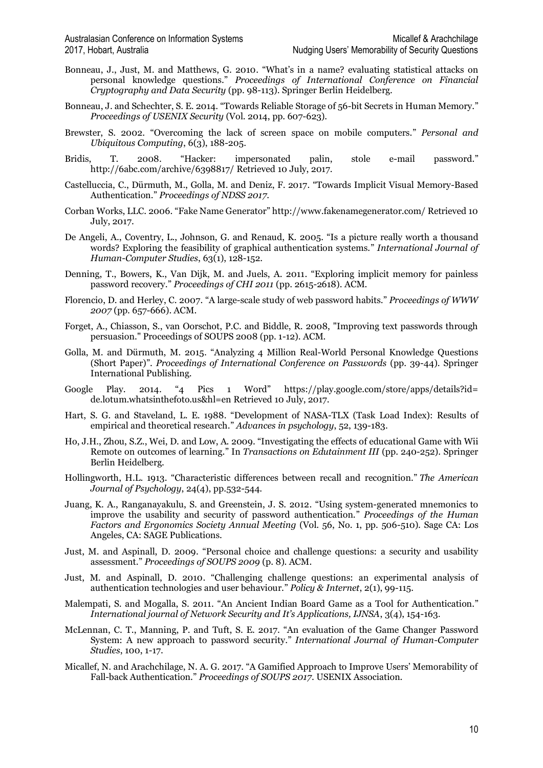- Bonneau, J., Just, M. and Matthews, G. 2010. "What's in a name? evaluating statistical attacks on personal knowledge questions." *Proceedings of International Conference on Financial Cryptography and Data Security* (pp. 98-113). Springer Berlin Heidelberg.
- Bonneau, J. and Schechter, S. E. 2014. "Towards Reliable Storage of 56-bit Secrets in Human Memory." *Proceedings of USENIX Security* (Vol. 2014, pp. 607-623).
- Brewster, S. 2002. "Overcoming the lack of screen space on mobile computers." *Personal and Ubiquitous Computing*, 6(3), 188-205.
- Bridis, T. 2008. "Hacker: impersonated palin, stole e-mail password." http://6abc.com/archive/6398817/ Retrieved 10 July, 2017.
- Castelluccia, C., Dürmuth, M., Golla, M. and Deniz, F. 2017. "Towards Implicit Visual Memory-Based Authentication." *Proceedings of NDSS 2017*.
- Corban Works, LLC. 2006. "Fake Name Generator" http://www.fakenamegenerator.com/ Retrieved 10 July, 2017.
- De Angeli, A., Coventry, L., Johnson, G. and Renaud, K. 2005. "Is a picture really worth a thousand words? Exploring the feasibility of graphical authentication systems." *International Journal of Human-Computer Studies*, 63(1), 128-152.
- Denning, T., Bowers, K., Van Dijk, M. and Juels, A. 2011. "Exploring implicit memory for painless password recovery." *Proceedings of CHI 2011* (pp. 2615-2618). ACM.
- Florencio, D. and Herley, C. 2007. "A large-scale study of web password habits." *Proceedings of WWW 2007* (pp. 657-666). ACM.
- Forget, A., Chiasson, S., van Oorschot, P.C. and Biddle, R. 2008, "Improving text passwords through persuasion." Proceedings of SOUPS 2008 (pp. 1-12). ACM.
- Golla, M. and Dürmuth, M. 2015. "Analyzing 4 Million Real-World Personal Knowledge Questions (Short Paper)". *Proceedings of International Conference on Passwords* (pp. 39-44). Springer International Publishing.
- Google Play. 2014. "4 Pics 1 Word" https://play.google.com/store/apps/details?id= de.lotum.whatsinthefoto.us&hl=en Retrieved 10 July, 2017.
- Hart, S. G. and Staveland, L. E. 1988. "Development of NASA-TLX (Task Load Index): Results of empirical and theoretical research." *Advances in psychology*, 52, 139-183.
- Ho, J.H., Zhou, S.Z., Wei, D. and Low, A. 2009. "Investigating the effects of educational Game with Wii Remote on outcomes of learning." In *Transactions on Edutainment III* (pp. 240-252). Springer Berlin Heidelberg.
- Hollingworth, H.L. 1913. "Characteristic differences between recall and recognition." *The American Journal of Psychology*, 24(4), pp.532-544.
- Juang, K. A., Ranganayakulu, S. and Greenstein, J. S. 2012. "Using system-generated mnemonics to improve the usability and security of password authentication." *Proceedings of the Human Factors and Ergonomics Society Annual Meeting* (Vol. 56, No. 1, pp. 506-510). Sage CA: Los Angeles, CA: SAGE Publications.
- Just, M. and Aspinall, D. 2009. "Personal choice and challenge questions: a security and usability assessment." *Proceedings of SOUPS 2009* (p. 8). ACM.
- Just, M. and Aspinall, D. 2010. "Challenging challenge questions: an experimental analysis of authentication technologies and user behaviour." *Policy & Internet*, 2(1), 99-115.
- Malempati, S. and Mogalla, S. 2011. "An Ancient Indian Board Game as a Tool for Authentication." *International journal of Network Security and It's Applications, IJNSA*, 3(4), 154-163.
- McLennan, C. T., Manning, P. and Tuft, S. E. 2017. "An evaluation of the Game Changer Password System: A new approach to password security." *International Journal of Human-Computer Studies*, 100, 1-17.
- Micallef, N. and Arachchilage, N. A. G. 2017. "A Gamified Approach to Improve Users' Memorability of Fall-back Authentication." *Proceedings of SOUPS 2017*. USENIX Association.